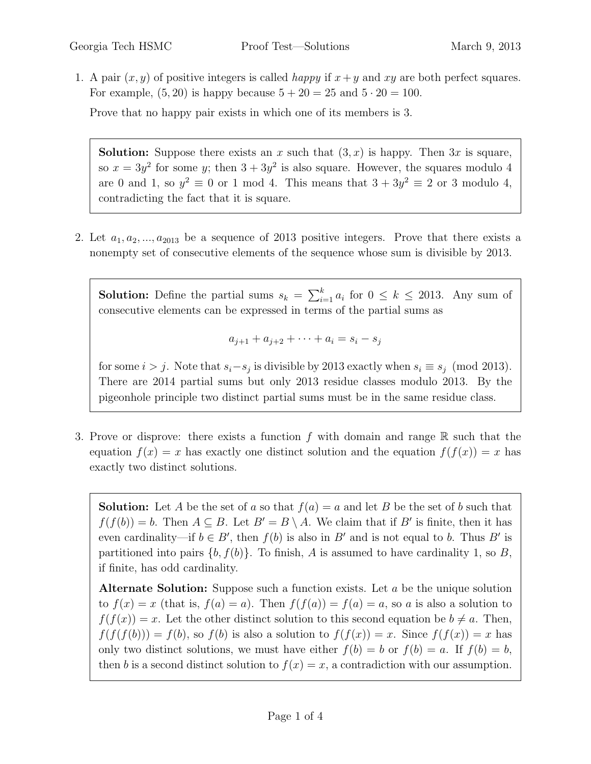1. A pair  $(x, y)$  of positive integers is called *happy* if  $x + y$  and xy are both perfect squares. For example,  $(5, 20)$  is happy because  $5 + 20 = 25$  and  $5 \cdot 20 = 100$ .

Prove that no happy pair exists in which one of its members is 3.

**Solution:** Suppose there exists an x such that  $(3, x)$  is happy. Then 3x is square, so  $x = 3y^2$  for some y; then  $3 + 3y^2$  is also square. However, the squares modulo 4 are 0 and 1, so  $y^2 \equiv 0$  or 1 mod 4. This means that  $3 + 3y^2 \equiv 2$  or 3 modulo 4, contradicting the fact that it is square.

2. Let  $a_1, a_2, ..., a_{2013}$  be a sequence of 2013 positive integers. Prove that there exists a nonempty set of consecutive elements of the sequence whose sum is divisible by 2013.

**Solution:** Define the partial sums  $s_k = \sum_{i=1}^k a_i$  for  $0 \leq k \leq 2013$ . Any sum of consecutive elements can be expressed in terms of the partial sums as

$$
a_{j+1} + a_{j+2} + \dots + a_i = s_i - s_j
$$

for some  $i > j$ . Note that  $s_i - s_j$  is divisible by 2013 exactly when  $s_i \equiv s_j \pmod{2013}$ . There are 2014 partial sums but only 2013 residue classes modulo 2013. By the pigeonhole principle two distinct partial sums must be in the same residue class.

3. Prove or disprove: there exists a function f with domain and range  $\mathbb R$  such that the equation  $f(x) = x$  has exactly one distinct solution and the equation  $f(f(x)) = x$  has exactly two distinct solutions.

**Solution:** Let A be the set of a so that  $f(a) = a$  and let B be the set of b such that  $f(f(b)) = b$ . Then  $A \subseteq B$ . Let  $B' = B \setminus A$ . We claim that if B' is finite, then it has even cardinality—if  $b \in B'$ , then  $f(b)$  is also in B' and is not equal to b. Thus B' is partitioned into pairs  $\{b, f(b)\}\$ . To finish, A is assumed to have cardinality 1, so B, if finite, has odd cardinality.

Alternate Solution: Suppose such a function exists. Let a be the unique solution to  $f(x) = x$  (that is,  $f(a) = a$ ). Then  $f(f(a)) = f(a) = a$ , so a is also a solution to  $f(f(x)) = x$ . Let the other distinct solution to this second equation be  $b \neq a$ . Then,  $f(f(f(b))) = f(b)$ , so  $f(b)$  is also a solution to  $f(f(x)) = x$ . Since  $f(f(x)) = x$  has only two distinct solutions, we must have either  $f(b) = b$  or  $f(b) = a$ . If  $f(b) = b$ , then b is a second distinct solution to  $f(x) = x$ , a contradiction with our assumption.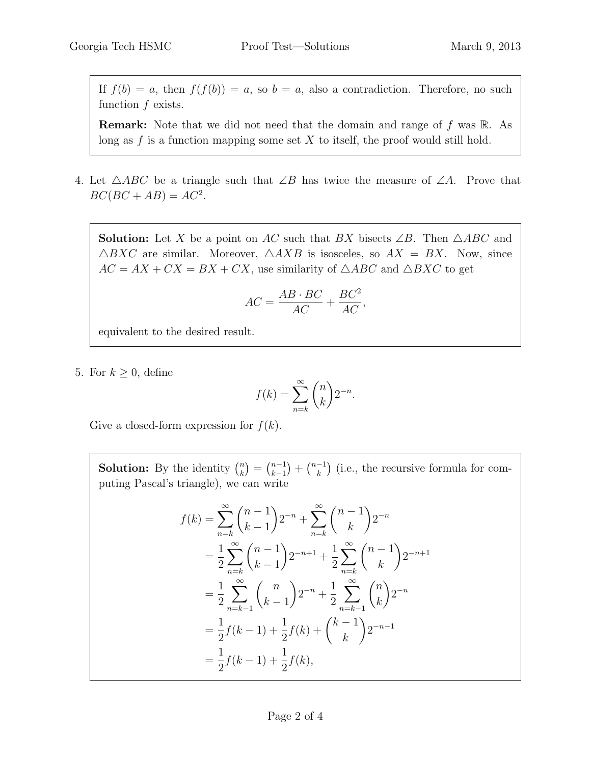If  $f(b) = a$ , then  $f(f(b)) = a$ , so  $b = a$ , also a contradiction. Therefore, no such function  $f$  exists.

**Remark:** Note that we did not need that the domain and range of f was  $\mathbb{R}$ . As long as  $f$  is a function mapping some set  $X$  to itself, the proof would still hold.

4. Let  $\triangle ABC$  be a triangle such that ∠B has twice the measure of ∠A. Prove that  $BC(BC + AB) = AC^2$ .

**Solution:** Let X be a point on AC such that  $\overline{BX}$  bisects  $\angle B$ . Then  $\triangle ABC$  and  $\triangle BXC$  are similar. Moreover,  $\triangle AXB$  is isosceles, so  $AX = BX$ . Now, since  $AC = AX + CX = BX + CX$ , use similarity of  $\triangle ABC$  and  $\triangle BXC$  to get

$$
AC = \frac{AB \cdot BC}{AC} + \frac{BC^2}{AC},
$$

equivalent to the desired result.

5. For  $k \geq 0$ , define

$$
f(k) = \sum_{n=k}^{\infty} {n \choose k} 2^{-n}.
$$

Give a closed-form expression for  $f(k)$ .

**Solution:** By the identity  $\binom{n}{k}$  $\binom{n}{k} = \binom{n-1}{k-1}$  $\binom{n-1}{k+1} + \binom{n-1}{k}$  $\binom{-1}{k}$  (i.e., the recursive formula for computing Pascal's triangle), we can write

$$
f(k) = \sum_{n=k}^{\infty} {n-1 \choose k-1} 2^{-n} + \sum_{n=k}^{\infty} {n-1 \choose k} 2^{-n}
$$
  
=  $\frac{1}{2} \sum_{n=k}^{\infty} {n-1 \choose k-1} 2^{-n+1} + \frac{1}{2} \sum_{n=k}^{\infty} {n-1 \choose k} 2^{-n+1}$   
=  $\frac{1}{2} \sum_{n=k-1}^{\infty} {n \choose k-1} 2^{-n} + \frac{1}{2} \sum_{n=k-1}^{\infty} {n \choose k} 2^{-n}$   
=  $\frac{1}{2} f(k-1) + \frac{1}{2} f(k) + {k-1 \choose k} 2^{-n-1}$   
=  $\frac{1}{2} f(k-1) + \frac{1}{2} f(k),$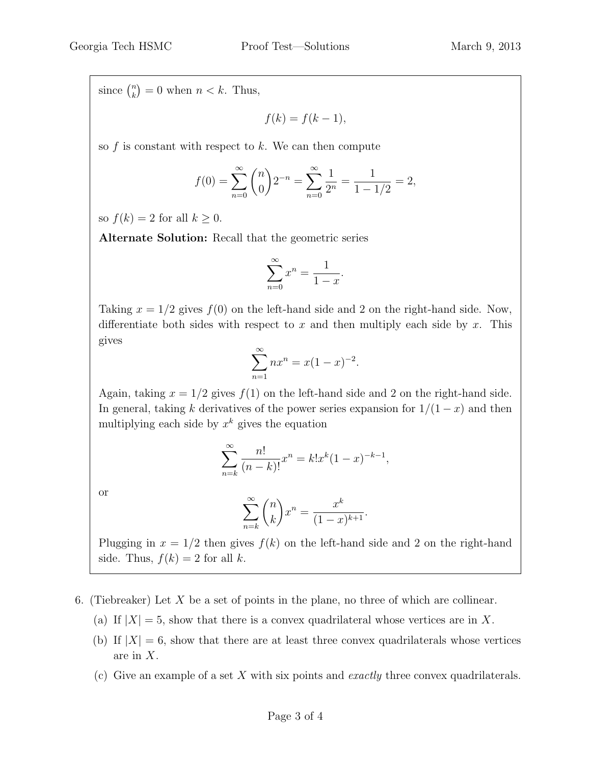since  $\binom{n}{k}$  $\binom{n}{k} = 0$  when  $n < k$ . Thus,

 $f(k) = f(k-1),$ 

so  $f$  is constant with respect to  $k$ . We can then compute

$$
f(0) = \sum_{n=0}^{\infty} {n \choose 0} 2^{-n} = \sum_{n=0}^{\infty} \frac{1}{2^n} = \frac{1}{1 - 1/2} = 2,
$$

so  $f(k) = 2$  for all  $k \geq 0$ .

Alternate Solution: Recall that the geometric series

$$
\sum_{n=0}^{\infty} x^n = \frac{1}{1-x}.
$$

Taking  $x = 1/2$  gives  $f(0)$  on the left-hand side and 2 on the right-hand side. Now, differentiate both sides with respect to x and then multiply each side by x. This gives

$$
\sum_{n=1}^{\infty} nx^n = x(1-x)^{-2}.
$$

Again, taking  $x = 1/2$  gives  $f(1)$  on the left-hand side and 2 on the right-hand side. In general, taking k derivatives of the power series expansion for  $1/(1-x)$  and then multiplying each side by  $x^k$  gives the equation

$$
\sum_{n=k}^{\infty} \frac{n!}{(n-k)!} x^n = k! x^k (1-x)^{-k-1},
$$

or

$$
\sum_{n=k}^{\infty} \binom{n}{k} x^n = \frac{x^k}{(1-x)^{k+1}}.
$$

Plugging in  $x = 1/2$  then gives  $f(k)$  on the left-hand side and 2 on the right-hand side. Thus,  $f(k) = 2$  for all k.

- 6. (Tiebreaker) Let  $X$  be a set of points in the plane, no three of which are collinear.
	- (a) If  $|X| = 5$ , show that there is a convex quadrilateral whose vertices are in X.
	- (b) If  $|X| = 6$ , show that there are at least three convex quadrilaterals whose vertices are in X.
	- (c) Give an example of a set X with six points and exactly three convex quadrilaterals.